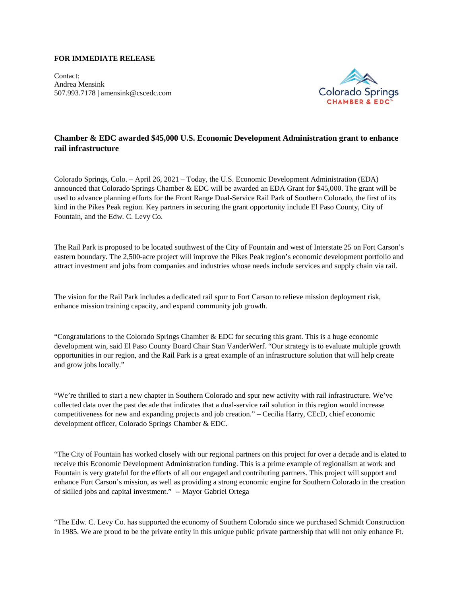## **FOR IMMEDIATE RELEASE**

Contact: Andrea Mensink 507.993.7178 | amensink@cscedc.com



# **Chamber & EDC awarded \$45,000 U.S. Economic Development Administration grant to enhance rail infrastructure**

Colorado Springs, Colo. – April 26, 2021 – Today, the U.S. Economic Development Administration (EDA) announced that Colorado Springs Chamber & EDC will be awarded an EDA Grant for \$45,000. The grant will be used to advance planning efforts for the Front Range Dual-Service Rail Park of Southern Colorado, the first of its kind in the Pikes Peak region. Key partners in securing the grant opportunity include El Paso County, City of Fountain, and the Edw. C. Levy Co.

The Rail Park is proposed to be located southwest of the City of Fountain and west of Interstate 25 on Fort Carson's eastern boundary. The 2,500-acre project will improve the Pikes Peak region's economic development portfolio and attract investment and jobs from companies and industries whose needs include services and supply chain via rail.

The vision for the Rail Park includes a dedicated rail spur to Fort Carson to relieve mission deployment risk, enhance mission training capacity, and expand community job growth.

"Congratulations to the Colorado Springs Chamber & EDC for securing this grant. This is a huge economic development win, said El Paso County Board Chair Stan VanderWerf. "Our strategy is to evaluate multiple growth opportunities in our region, and the Rail Park is a great example of an infrastructure solution that will help create and grow jobs locally."

"We're thrilled to start a new chapter in Southern Colorado and spur new activity with rail infrastructure. We've collected data over the past decade that indicates that a dual-service rail solution in this region would increase competitiveness for new and expanding projects and job creation." – Cecilia Harry, CEcD, chief economic development officer, Colorado Springs Chamber & EDC.

"The City of Fountain has worked closely with our regional partners on this project for over a decade and is elated to receive this Economic Development Administration funding. This is a prime example of regionalism at work and Fountain is very grateful for the efforts of all our engaged and contributing partners. This project will support and enhance Fort Carson's mission, as well as providing a strong economic engine for Southern Colorado in the creation of skilled jobs and capital investment." -- Mayor Gabriel Ortega

"The Edw. C. Levy Co. has supported the economy of Southern Colorado since we purchased Schmidt Construction in 1985. We are proud to be the private entity in this unique public private partnership that will not only enhance Ft.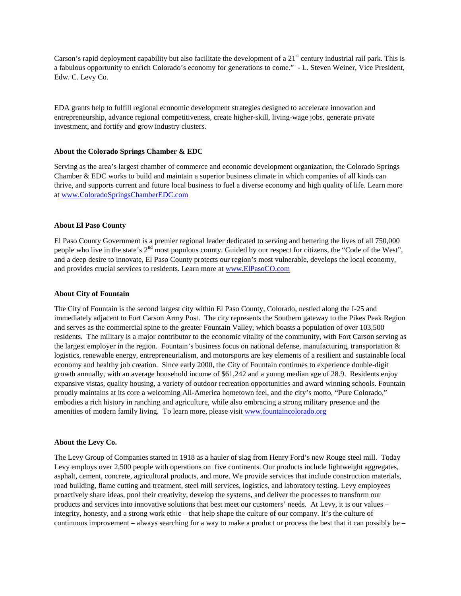Carson's rapid deployment capability but also facilitate the development of a  $21<sup>st</sup>$  century industrial rail park. This is a fabulous opportunity to enrich Colorado's economy for generations to come." - L. Steven Weiner, Vice President, Edw. C. Levy Co.

EDA grants help to fulfill regional economic development strategies designed to accelerate innovation and entrepreneurship, advance regional competitiveness, create higher-skill, living-wage jobs, generate private investment, and fortify and grow industry clusters.

## **About the Colorado Springs Chamber & EDC**

Serving as the area's largest chamber of commerce and economic development organization, the Colorado Springs Chamber & EDC works to build and maintain a superior business climate in which companies of all kinds can thrive, and supports current and future local business to fuel a diverse economy and high quality of life. Learn more at [www.ColoradoSpringsChamberEDC.com](http://www.coloradospringschamberedc.com/)

### **About El Paso County**

El Paso County Government is a premier regional leader dedicated to serving and bettering the lives of all 750,000 people who live in the state's  $2<sup>nd</sup>$  most populous county. Guided by our respect for citizens, the "Code of the West", and a deep desire to innovate, El Paso County protects our region's most vulnerable, develops the local economy, and provides crucial services to residents. Learn more a[t www.ElPasoCO.com](http://www.elpasoco.com/)

#### **About City of Fountain**

The City of Fountain is the second largest city within El Paso County, Colorado, nestled along the I-25 and immediately adjacent to Fort Carson Army Post. The city represents the Southern gateway to the Pikes Peak Region and serves as the commercial spine to the greater Fountain Valley, which boasts a population of over 103,500 residents. The military is a major contributor to the economic vitality of the community, with Fort Carson serving as the largest employer in the region. Fountain's business focus on national defense, manufacturing, transportation  $\&$ logistics, renewable energy, entrepreneurialism, and motorsports are key elements of a resilient and sustainable local economy and healthy job creation. Since early 2000, the City of Fountain continues to experience double-digit growth annually, with an average household income of \$61,242 and a young median age of 28.9. Residents enjoy expansive vistas, quality housing, a variety of outdoor recreation opportunities and award winning schools. Fountain proudly maintains at its core a welcoming All-America hometown feel, and the city's motto, "Pure Colorado," embodies a rich history in ranching and agriculture, while also embracing a strong military presence and the amenities of modern family living. To learn more, please visit [www.fountaincolorado.org](http://www.fountaincolorado.org/)

#### **About the Levy Co.**

The Levy Group of Companies started in 1918 as a hauler of slag from Henry Ford's new Rouge steel mill. Today Levy employs over 2,500 people with operations on five continents. Our products include lightweight aggregates, asphalt, cement, concrete, agricultural products, and more. We provide services that include construction materials, road building, flame cutting and treatment, steel mill services, logistics, and laboratory testing. Levy employees proactively share ideas, pool their creativity, develop the systems, and deliver the processes to transform our products and services into innovative solutions that best meet our customers' needs. At Levy, it is our values – integrity, honesty, and a strong work ethic – that help shape the culture of our company. It's the culture of continuous improvement – always searching for a way to make a product or process the best that it can possibly be –